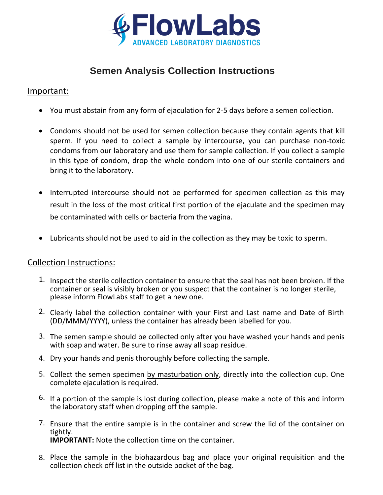

# **Semen Analysis Collection Instructions**

## Important:

- You must abstain from any form of ejaculation for 2-5 days before a semen collection.
- Condoms should not be used for semen collection because they contain agents that kill sperm. If you need to collect a sample by intercourse, you can purchase non-toxic condoms from our laboratory and use them for sample collection. If you collect a sample in this type of condom, drop the whole condom into one of our sterile containers and bring it to the laboratory.
- Interrupted intercourse should not be performed for specimen collection as this may result in the loss of the most critical first portion of the ejaculate and the specimen may be contaminated with cells or bacteria from the vagina.
- Lubricants should not be used to aid in the collection as they may be toxic to sperm.

#### Collection Instructions:

- 1. Inspect the sterile collection container to ensure that the seal has not been broken. If the container or seal is visibly broken or you suspect that the container is no longer sterile, please inform FlowLabs staff to get a new one.
- 2. Clearly label the collection container with your First and Last name and Date of Birth (DD/MMM/YYYY), unless the container has already been labelled for you.
- 3. The semen sample should be collected only after you have washed your hands and penis with soap and water. Be sure to rinse away all soap residue.
- 4. Dry your hands and penis thoroughly before collecting the sample.
- 5. Collect the semen specimen by masturbation only, directly into the collection cup. One complete ejaculation is required.
- 6. If a portion of the sample is lost during collection, please make a note of this and inform the laboratory staff when dropping off the sample.
- 7. Ensure that the entire sample is in the container and screw the lid of the container on tightly. **IMPORTANT:** Note the collection time on the container.
- 8. Place the sample in the biohazardous bag and place your original requisition and the collection check off list in the outside pocket of the bag.